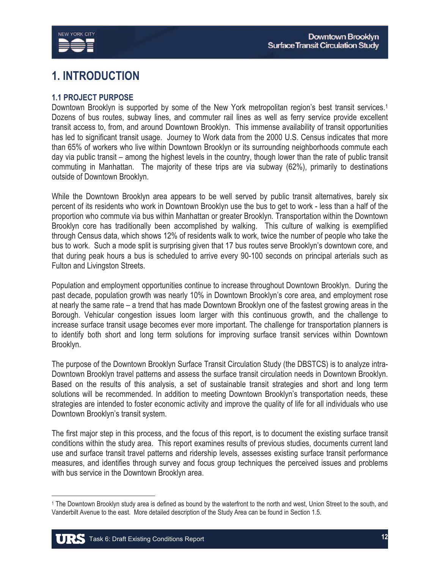

# **1. INTRODUCTION**

# **1.1 PROJECT PURPOSE**

Downtown Brooklyn is supported by some of the New York metropolitan region's best transit services.<sup>1</sup> Dozens of bus routes, subway lines, and commuter rail lines as well as ferry service provide excellent transit access to, from, and around Downtown Brooklyn. This immense availability of transit opportunities has led to significant transit usage. Journey to Work data from the 2000 U.S. Census indicates that more than 65% of workers who live within Downtown Brooklyn or its surrounding neighborhoods commute each day via public transit – among the highest levels in the country, though lower than the rate of public transit commuting in Manhattan. The majority of these trips are via subway (62%), primarily to destinations outside of Downtown Brooklyn.

While the Downtown Brooklyn area appears to be well served by public transit alternatives, barely six percent of its residents who work in Downtown Brooklyn use the bus to get to work - less than a half of the proportion who commute via bus within Manhattan or greater Brooklyn. Transportation within the Downtown Brooklyn core has traditionally been accomplished by walking. This culture of walking is exemplified through Census data, which shows 12% of residents walk to work, twice the number of people who take the bus to work. Such a mode split is surprising given that 17 bus routes serve Brooklyn's downtown core, and that during peak hours a bus is scheduled to arrive every 90-100 seconds on principal arterials such as Fulton and Livingston Streets.

Population and employment opportunities continue to increase throughout Downtown Brooklyn. During the past decade, population growth was nearly 10% in Downtown Brooklyn's core area, and employment rose at nearly the same rate – a trend that has made Downtown Brooklyn one of the fastest growing areas in the Borough. Vehicular congestion issues loom larger with this continuous growth, and the challenge to increase surface transit usage becomes ever more important. The challenge for transportation planners is to identify both short and long term solutions for improving surface transit services within Downtown Brooklyn.

The purpose of the Downtown Brooklyn Surface Transit Circulation Study (the DBSTCS) is to analyze intra-Downtown Brooklyn travel patterns and assess the surface transit circulation needs in Downtown Brooklyn. Based on the results of this analysis, a set of sustainable transit strategies and short and long term solutions will be recommended. In addition to meeting Downtown Brooklyn's transportation needs, these strategies are intended to foster economic activity and improve the quality of life for all individuals who use Downtown Brooklyn's transit system.

The first major step in this process, and the focus of this report, is to document the existing surface transit conditions within the study area. This report examines results of previous studies, documents current land use and surface transit travel patterns and ridership levels, assesses existing surface transit performance measures, and identifies through survey and focus group techniques the perceived issues and problems with bus service in the Downtown Brooklyn area.

<sup>1</sup> The Downtown Brooklyn study area is defined as bound by the waterfront to the north and west, Union Street to the south, and Vanderbilt Avenue to the east. More detailed description of the Study Area can be found in Section 1.5.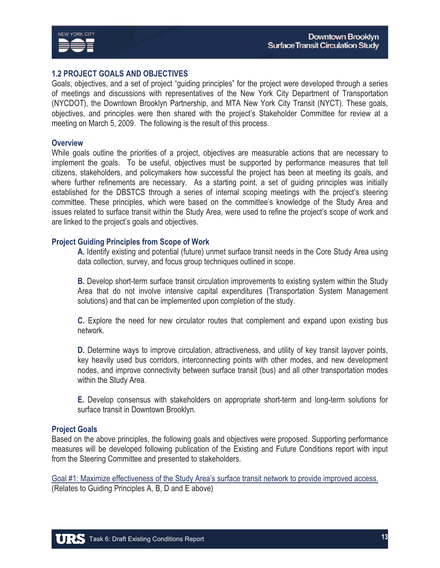



#### **1.2 PROJECT GOALS AND OBJECTIVES**

Goals, objectives, and a set of project "guiding principles" for the project were developed through a series of meetings and discussions with representatives of the New York City Department of Transportation (NYCDOT), the Downtown Brooklyn Partnership, and MTA New York City Transit (NYCT). These goals, objectives, and principles were then shared with the project's Stakeholder Committee for review at a meeting on March 5, 2009. The following is the result of this process.

#### **Overview**

While goals outline the priorities of a project, objectives are measurable actions that are necessary to implement the goals. To be useful, objectives must be supported by performance measures that tell citizens, stakeholders, and policymakers how successful the project has been at meeting its goals, and where further refinements are necessary. As a starting point, a set of guiding principles was initially established for the DBSTCS through a series of internal scoping meetings with the project's steering committee. These principles, which were based on the committee's knowledge of the Study Area and issues related to surface transit within the Study Area, were used to refine the project's scope of work and are linked to the project's goals and objectives.

#### **Project Guiding Principles from Scope of Work**

**A.** Identify existing and potential (future) unmet surface transit needs in the Core Study Area using data collection, survey, and focus group techniques outlined in scope.

**B.** Develop short-term surface transit circulation improvements to existing system within the Study Area that do not involve intensive capital expenditures (Transportation System Management solutions) and that can be implemented upon completion of the study.

**C.** Explore the need for new circulator routes that complement and expand upon existing bus network.

**D.** Determine ways to improve circulation, attractiveness, and utility of key transit layover points, key heavily used bus corridors, interconnecting points with other modes, and new development nodes, and improve connectivity between surface transit (bus) and all other transportation modes within the Study Area.

**E.** Develop consensus with stakeholders on appropriate short-term and long-term solutions for surface transit in Downtown Brooklyn.

#### **Project Goals**

Based on the above principles, the following goals and objectives were proposed. Supporting performance measures will be developed following publication of the Existing and Future Conditions report with input from the Steering Committee and presented to stakeholders.

Goal #1: Maximize effectiveness of the Study Area's surface transit network to provide improved access. (Relates to Guiding Principles A, B, D and E above)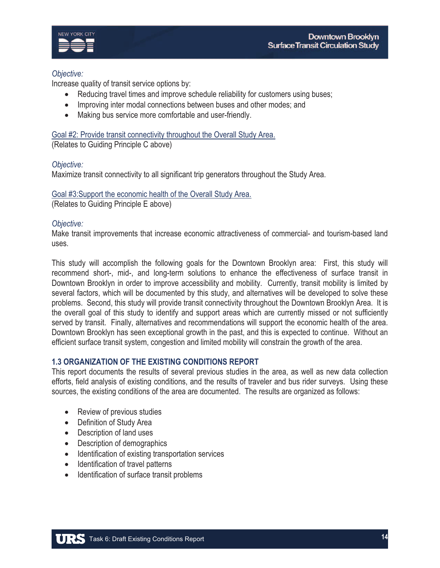

## *Objective:*

Increase quality of transit service options by:

- Reducing travel times and improve schedule reliability for customers using buses;
- Improving inter modal connections between buses and other modes; and
- Making bus service more comfortable and user-friendly.

Goal #2: Provide transit connectivity throughout the Overall Study Area. (Relates to Guiding Principle C above)

## *Objective:*

Maximize transit connectivity to all significant trip generators throughout the Study Area.

Goal #3:Support the economic health of the Overall Study Area.

(Relates to Guiding Principle E above)

## *Objective:*

Make transit improvements that increase economic attractiveness of commercial- and tourism-based land uses.

This study will accomplish the following goals for the Downtown Brooklyn area: First, this study will recommend short-, mid-, and long-term solutions to enhance the effectiveness of surface transit in Downtown Brooklyn in order to improve accessibility and mobility. Currently, transit mobility is limited by several factors, which will be documented by this study, and alternatives will be developed to solve these problems. Second, this study will provide transit connectivity throughout the Downtown Brooklyn Area. It is the overall goal of this study to identify and support areas which are currently missed or not sufficiently served by transit. Finally, alternatives and recommendations will support the economic health of the area. Downtown Brooklyn has seen exceptional growth in the past, and this is expected to continue. Without an efficient surface transit system, congestion and limited mobility will constrain the growth of the area.

## **1.3 ORGANIZATION OF THE EXISTING CONDITIONS REPORT**

This report documents the results of several previous studies in the area, as well as new data collection efforts, field analysis of existing conditions, and the results of traveler and bus rider surveys. Using these sources, the existing conditions of the area are documented. The results are organized as follows:

- Review of previous studies
- Definition of Study Area
- Description of land uses
- Description of demographics
- Identification of existing transportation services
- Identification of travel patterns
- Identification of surface transit problems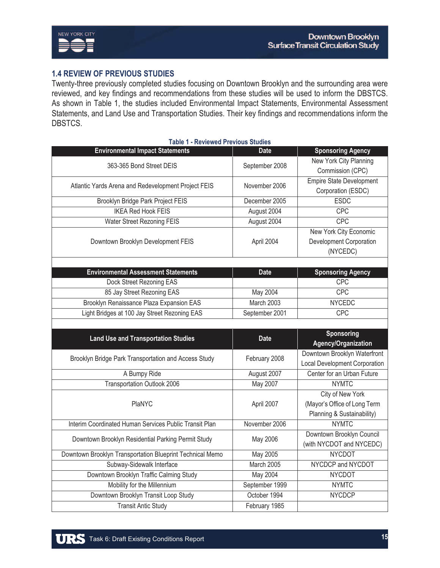

# **1.4 REVIEW OF PREVIOUS STUDIES**

Twenty-three previously completed studies focusing on Downtown Brooklyn and the surrounding area were reviewed, and key findings and recommendations from these studies will be used to inform the DBSTCS. As shown in Table 1, the studies included Environmental Impact Statements, Environmental Assessment Statements, and Land Use and Transportation Studies. Their key findings and recommendations inform the DBSTCS.

| <b>Table 1 - Reviewed Previous Studies</b>                |                |                                      |  |
|-----------------------------------------------------------|----------------|--------------------------------------|--|
| <b>Environmental Impact Statements</b>                    | <b>Date</b>    | <b>Sponsoring Agency</b>             |  |
| 363-365 Bond Street DEIS                                  | September 2008 | New York City Planning               |  |
|                                                           |                | Commission (CPC)                     |  |
| Atlantic Yards Arena and Redevelopment Project FEIS       | November 2006  | <b>Empire State Development</b>      |  |
|                                                           |                | Corporation (ESDC)                   |  |
| Brooklyn Bridge Park Project FEIS                         | December 2005  | <b>ESDC</b>                          |  |
| <b>IKEA Red Hook FEIS</b>                                 | August 2004    | CPC                                  |  |
| <b>Water Street Rezoning FEIS</b>                         | August 2004    | <b>CPC</b>                           |  |
| Downtown Brooklyn Development FEIS                        | April 2004     | <b>New York City Economic</b>        |  |
|                                                           |                | Development Corporation              |  |
|                                                           |                | (NYCEDC)                             |  |
|                                                           |                |                                      |  |
| <b>Environmental Assessment Statements</b>                | <b>Date</b>    | <b>Sponsoring Agency</b>             |  |
| Dock Street Rezoning EAS                                  |                | <b>CPC</b>                           |  |
| 85 Jay Street Rezoning EAS                                | May 2004       | CPC                                  |  |
| Brooklyn Renaissance Plaza Expansion EAS                  | March 2003     | <b>NYCEDC</b>                        |  |
| Light Bridges at 100 Jay Street Rezoning EAS              | September 2001 | CPC                                  |  |
|                                                           |                |                                      |  |
|                                                           |                |                                      |  |
|                                                           |                | <b>Sponsoring</b>                    |  |
| <b>Land Use and Transportation Studies</b>                | <b>Date</b>    | Agency/Organization                  |  |
|                                                           |                | Downtown Brooklyn Waterfront         |  |
| Brooklyn Bridge Park Transportation and Access Study      | February 2008  | <b>Local Development Corporation</b> |  |
| A Bumpy Ride                                              | August 2007    | Center for an Urban Future           |  |
| <b>Transportation Outlook 2006</b>                        | May 2007       | <b>NYMTC</b>                         |  |
|                                                           |                | City of New York                     |  |
| PlaNYC                                                    | April 2007     | (Mayor's Office of Long Term         |  |
|                                                           |                | Planning & Sustainability)           |  |
| Interim Coordinated Human Services Public Transit Plan    | November 2006  | <b>NYMTC</b>                         |  |
|                                                           |                | Downtown Brooklyn Council            |  |
| Downtown Brooklyn Residential Parking Permit Study        | May 2006       | (with NYCDOT and NYCEDC)             |  |
| Downtown Brooklyn Transportation Blueprint Technical Memo | May 2005       | <b>NYCDOT</b>                        |  |
| Subway-Sidewalk Interface                                 | March 2005     | NYCDCP and NYCDOT                    |  |
| Downtown Brooklyn Traffic Calming Study                   | May 2004       | <b>NYCDOT</b>                        |  |
| Mobility for the Millennium                               | September 1999 | <b>NYMTC</b>                         |  |
| Downtown Brooklyn Transit Loop Study                      | October 1994   | <b>NYCDCP</b>                        |  |
| <b>Transit Antic Study</b>                                | February 1985  |                                      |  |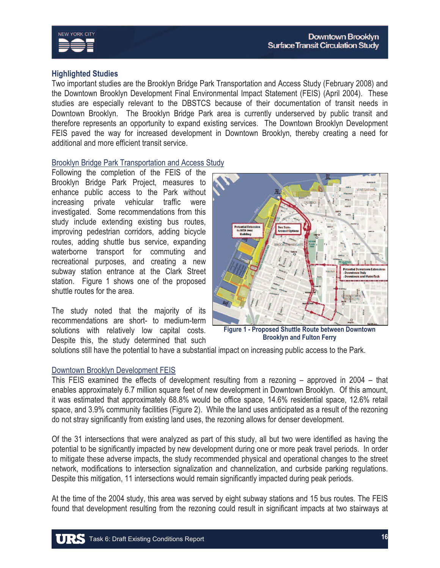

## **Highlighted Studies**

Two important studies are the Brooklyn Bridge Park Transportation and Access Study (February 2008) and the Downtown Brooklyn Development Final Environmental Impact Statement (FEIS) (April 2004). These studies are especially relevant to the DBSTCS because of their documentation of transit needs in Downtown Brooklyn. The Brooklyn Bridge Park area is currently underserved by public transit and therefore represents an opportunity to expand existing services. The Downtown Brooklyn Development FEIS paved the way for increased development in Downtown Brooklyn, thereby creating a need for additional and more efficient transit service.

## Brooklyn Bridge Park Transportation and Access Study

Following the completion of the FEIS of the Brooklyn Bridge Park Project, measures to enhance public access to the Park without increasing private vehicular traffic were investigated. Some recommendations from this study include extending existing bus routes, improving pedestrian corridors, adding bicycle routes, adding shuttle bus service, expanding waterborne transport for commuting and recreational purposes, and creating a new subway station entrance at the Clark Street station. Figure 1 shows one of the proposed shuttle routes for the area.

The study noted that the majority of its recommendations are short- to medium-term solutions with relatively low capital costs. Despite this, the study determined that such



**Brooklyn and Fulton Ferry**

solutions still have the potential to have a substantial impact on increasing public access to the Park.

## Downtown Brooklyn Development FEIS

This FEIS examined the effects of development resulting from a rezoning – approved in 2004 – that enables approximately 6.7 million square feet of new development in Downtown Brooklyn. Of this amount, it was estimated that approximately 68.8% would be office space, 14.6% residential space, 12.6% retail space, and 3.9% community facilities (Figure 2). While the land uses anticipated as a result of the rezoning do not stray significantly from existing land uses, the rezoning allows for denser development.

Of the 31 intersections that were analyzed as part of this study, all but two were identified as having the potential to be significantly impacted by new development during one or more peak travel periods. In order to mitigate these adverse impacts, the study recommended physical and operational changes to the street network, modifications to intersection signalization and channelization, and curbside parking regulations. Despite this mitigation, 11 intersections would remain significantly impacted during peak periods.

At the time of the 2004 study, this area was served by eight subway stations and 15 bus routes. The FEIS found that development resulting from the rezoning could result in significant impacts at two stairways at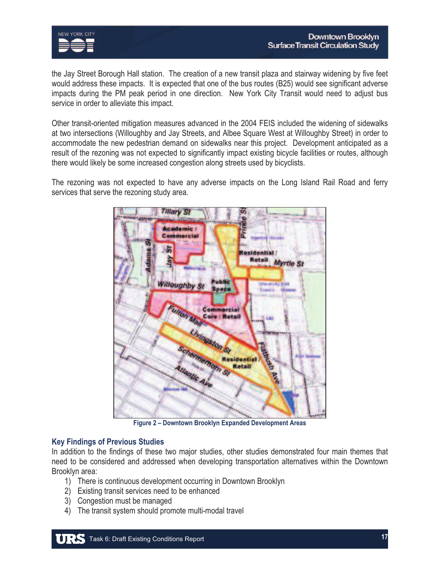

the Jay Street Borough Hall station. The creation of a new transit plaza and stairway widening by five feet would address these impacts. It is expected that one of the bus routes (B25) would see significant adverse impacts during the PM peak period in one direction. New York City Transit would need to adjust bus service in order to alleviate this impact.

Other transit-oriented mitigation measures advanced in the 2004 FEIS included the widening of sidewalks at two intersections (Willoughby and Jay Streets, and Albee Square West at Willoughby Street) in order to accommodate the new pedestrian demand on sidewalks near this project. Development anticipated as a result of the rezoning was not expected to significantly impact existing bicycle facilities or routes, although there would likely be some increased congestion along streets used by bicyclists.

The rezoning was not expected to have any adverse impacts on the Long Island Rail Road and ferry services that serve the rezoning study area.



**Figure 2 – Downtown Brooklyn Expanded Development Areas** 

## **Key Findings of Previous Studies**

In addition to the findings of these two major studies, other studies demonstrated four main themes that need to be considered and addressed when developing transportation alternatives within the Downtown Brooklyn area:

- 1) There is continuous development occurring in Downtown Brooklyn
- 2) Existing transit services need to be enhanced
- 3) Congestion must be managed
- 4) The transit system should promote multi-modal travel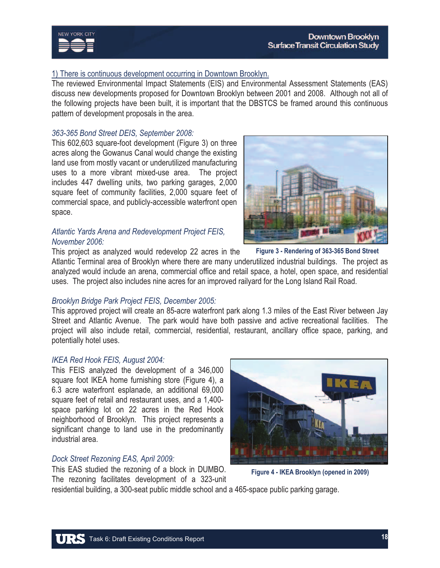# 1) There is continuous development occurring in Downtown Brooklyn.

The reviewed Environmental Impact Statements (EIS) and Environmental Assessment Statements (EAS) discuss new developments proposed for Downtown Brooklyn between 2001 and 2008. Although not all of the following projects have been built, it is important that the DBSTCS be framed around this continuous pattern of development proposals in the area.

## *363-365 Bond Street DEIS, September 2008:*

This 602,603 square-foot development (Figure 3) on three acres along the Gowanus Canal would change the existing land use from mostly vacant or underutilized manufacturing uses to a more vibrant mixed-use area. The project includes 447 dwelling units, two parking garages, 2,000 square feet of community facilities, 2,000 square feet of commercial space, and publicly-accessible waterfront open space.

# *Atlantic Yards Arena and Redevelopment Project FEIS, November 2006:*

This project as analyzed would redevelop 22 acres in the Atlantic Terminal area of Brooklyn where there are many underutilized industrial buildings. The project as analyzed would include an arena, commercial office and retail space, a hotel, open space, and residential uses. The project also includes nine acres for an improved railyard for the Long Island Rail Road.

# *Brooklyn Bridge Park Project FEIS, December 2005:*

This approved project will create an 85-acre waterfront park along 1.3 miles of the East River between Jay Street and Atlantic Avenue. The park would have both passive and active recreational facilities. The project will also include retail, commercial, residential, restaurant, ancillary office space, parking, and potentially hotel uses.

residential building, a 300-seat public middle school and a 465-space public parking garage.

## *IKEA Red Hook FEIS, August 2004:*

This FEIS analyzed the development of a 346,000 square foot IKEA home furnishing store (Figure 4), a 6.3 acre waterfront esplanade, an additional 69,000 square feet of retail and restaurant uses, and a 1,400 space parking lot on 22 acres in the Red Hook neighborhood of Brooklyn. This project represents a significant change to land use in the predominantly industrial area.

## *Dock Street Rezoning EAS, April 2009:*

This EAS studied the rezoning of a block in DUMBO. The rezoning facilitates development of a 323-unit

**Figure 4 - IKEA Brooklyn (opened in 2009)** 

**Figure 3 - Rendering of 363-365 Bond Street** 



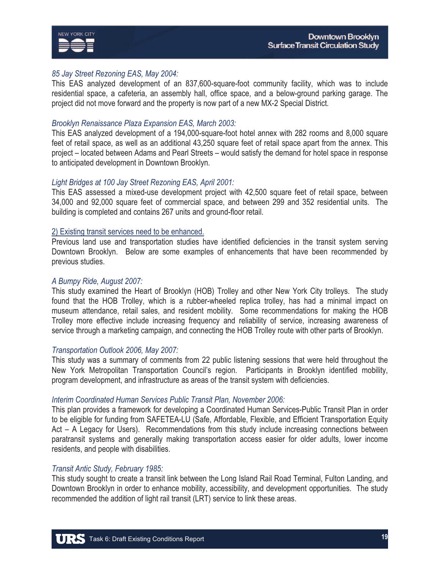

#### *85 Jay Street Rezoning EAS, May 2004:*

This EAS analyzed development of an 837,600-square-foot community facility, which was to include residential space, a cafeteria, an assembly hall, office space, and a below-ground parking garage. The project did not move forward and the property is now part of a new MX-2 Special District.

#### *Brooklyn Renaissance Plaza Expansion EAS, March 2003:*

This EAS analyzed development of a 194,000-square-foot hotel annex with 282 rooms and 8,000 square feet of retail space, as well as an additional 43,250 square feet of retail space apart from the annex. This project – located between Adams and Pearl Streets – would satisfy the demand for hotel space in response to anticipated development in Downtown Brooklyn.

#### *Light Bridges at 100 Jay Street Rezoning EAS, April 2001:*

This EAS assessed a mixed-use development project with 42,500 square feet of retail space, between 34,000 and 92,000 square feet of commercial space, and between 299 and 352 residential units. The building is completed and contains 267 units and ground-floor retail.

#### 2) Existing transit services need to be enhanced.

Previous land use and transportation studies have identified deficiencies in the transit system serving Downtown Brooklyn. Below are some examples of enhancements that have been recommended by previous studies.

#### *A Bumpy Ride, August 2007:*

This study examined the Heart of Brooklyn (HOB) Trolley and other New York City trolleys. The study found that the HOB Trolley, which is a rubber-wheeled replica trolley, has had a minimal impact on museum attendance, retail sales, and resident mobility. Some recommendations for making the HOB Trolley more effective include increasing frequency and reliability of service, increasing awareness of service through a marketing campaign, and connecting the HOB Trolley route with other parts of Brooklyn.

#### *Transportation Outlook 2006, May 2007:*

This study was a summary of comments from 22 public listening sessions that were held throughout the New York Metropolitan Transportation Council's region. Participants in Brooklyn identified mobility, program development, and infrastructure as areas of the transit system with deficiencies.

#### *Interim Coordinated Human Services Public Transit Plan, November 2006:*

This plan provides a framework for developing a Coordinated Human Services-Public Transit Plan in order to be eligible for funding from SAFETEA-LU (Safe, Affordable, Flexible, and Efficient Transportation Equity Act – A Legacy for Users). Recommendations from this study include increasing connections between paratransit systems and generally making transportation access easier for older adults, lower income residents, and people with disabilities.

#### *Transit Antic Study, February 1985:*

This study sought to create a transit link between the Long Island Rail Road Terminal, Fulton Landing, and Downtown Brooklyn in order to enhance mobility, accessibility, and development opportunities. The study recommended the addition of light rail transit (LRT) service to link these areas.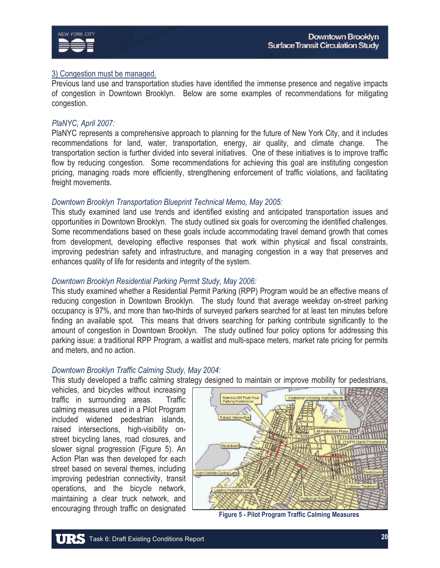

# 3) Congestion must be managed.

Previous land use and transportation studies have identified the immense presence and negative impacts of congestion in Downtown Brooklyn. Below are some examples of recommendations for mitigating congestion.

#### *PlaNYC, April 2007:*

PlaNYC represents a comprehensive approach to planning for the future of New York City, and it includes recommendations for land, water, transportation, energy, air quality, and climate change. The transportation section is further divided into several initiatives. One of these initiatives is to improve traffic flow by reducing congestion. Some recommendations for achieving this goal are instituting congestion pricing, managing roads more efficiently, strengthening enforcement of traffic violations, and facilitating freight movements.

#### *Downtown Brooklyn Transportation Blueprint Technical Memo, May 2005:*

This study examined land use trends and identified existing and anticipated transportation issues and opportunities in Downtown Brooklyn. The study outlined six goals for overcoming the identified challenges. Some recommendations based on these goals include accommodating travel demand growth that comes from development, developing effective responses that work within physical and fiscal constraints, improving pedestrian safety and infrastructure, and managing congestion in a way that preserves and enhances quality of life for residents and integrity of the system.

#### *Downtown Brooklyn Residential Parking Permit Study, May 2006:*

This study examined whether a Residential Permit Parking (RPP) Program would be an effective means of reducing congestion in Downtown Brooklyn. The study found that average weekday on-street parking occupancy is 97%, and more than two-thirds of surveyed parkers searched for at least ten minutes before finding an available spot. This means that drivers searching for parking contribute significantly to the amount of congestion in Downtown Brooklyn. The study outlined four policy options for addressing this parking issue: a traditional RPP Program, a waitlist and multi-space meters, market rate pricing for permits and meters, and no action.

## *Downtown Brooklyn Traffic Calming Study, May 2004:*

This study developed a traffic calming strategy designed to maintain or improve mobility for pedestrians,

vehicles, and bicycles without increasing traffic in surrounding areas. Traffic calming measures used in a Pilot Program included widened pedestrian islands, raised intersections, high-visibility onstreet bicycling lanes, road closures, and slower signal progression (Figure 5). An Action Plan was then developed for each street based on several themes, including improving pedestrian connectivity, transit operations, and the bicycle network, maintaining a clear truck network, and encouraging through traffic on designated



**Figure 5 - Pilot Program Traffic Calming Measures**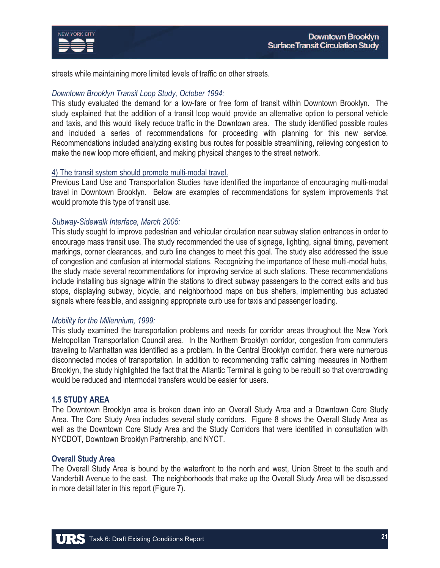

streets while maintaining more limited levels of traffic on other streets.

## *Downtown Brooklyn Transit Loop Study, October 1994:*

This study evaluated the demand for a low-fare or free form of transit within Downtown Brooklyn. The study explained that the addition of a transit loop would provide an alternative option to personal vehicle and taxis, and this would likely reduce traffic in the Downtown area. The study identified possible routes and included a series of recommendations for proceeding with planning for this new service. Recommendations included analyzing existing bus routes for possible streamlining, relieving congestion to make the new loop more efficient, and making physical changes to the street network.

#### 4) The transit system should promote multi-modal travel.

Previous Land Use and Transportation Studies have identified the importance of encouraging multi-modal travel in Downtown Brooklyn. Below are examples of recommendations for system improvements that would promote this type of transit use.

## *Subway-Sidewalk Interface, March 2005:*

This study sought to improve pedestrian and vehicular circulation near subway station entrances in order to encourage mass transit use. The study recommended the use of signage, lighting, signal timing, pavement markings, corner clearances, and curb line changes to meet this goal. The study also addressed the issue of congestion and confusion at intermodal stations. Recognizing the importance of these multi-modal hubs, the study made several recommendations for improving service at such stations. These recommendations include installing bus signage within the stations to direct subway passengers to the correct exits and bus stops, displaying subway, bicycle, and neighborhood maps on bus shelters, implementing bus actuated signals where feasible, and assigning appropriate curb use for taxis and passenger loading.

#### *Mobility for the Millennium, 1999:*

This study examined the transportation problems and needs for corridor areas throughout the New York Metropolitan Transportation Council area. In the Northern Brooklyn corridor, congestion from commuters traveling to Manhattan was identified as a problem. In the Central Brooklyn corridor, there were numerous disconnected modes of transportation. In addition to recommending traffic calming measures in Northern Brooklyn, the study highlighted the fact that the Atlantic Terminal is going to be rebuilt so that overcrowding would be reduced and intermodal transfers would be easier for users.

#### **1.5 STUDY AREA**

The Downtown Brooklyn area is broken down into an Overall Study Area and a Downtown Core Study Area. The Core Study Area includes several study corridors. Figure 8 shows the Overall Study Area as well as the Downtown Core Study Area and the Study Corridors that were identified in consultation with NYCDOT, Downtown Brooklyn Partnership, and NYCT.

#### **Overall Study Area**

The Overall Study Area is bound by the waterfront to the north and west, Union Street to the south and Vanderbilt Avenue to the east. The neighborhoods that make up the Overall Study Area will be discussed in more detail later in this report (Figure 7).